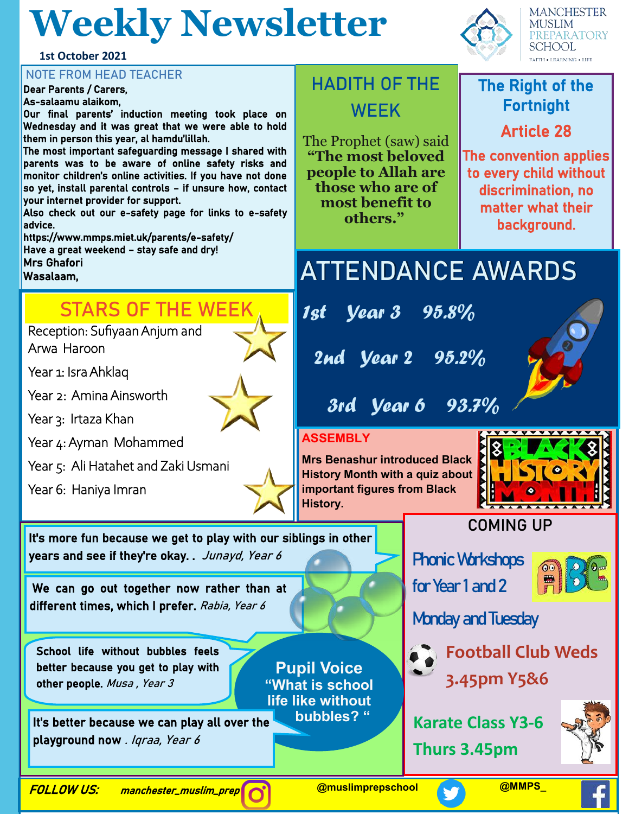# **Weekly Newsletter**



#### **NOTE FROM HEAD TEACHER**

Dear Parents / Carers, As-salaamu alaikom, Our final parents' induction meeting took place on Wednesday and it was great that we were able to hold them in person this year, al hamdu'lillah. The most important safeguarding message I shared with parents was to be aware of online safety risks and monitor children's online activities. If you have not done so yet, install parental controls – if unsure how, contact your internet provider for support. Also check out our e-safety page for links to e-safety advice.

https://www.mmps.miet.uk/parents/e-safety/ Have a great weekend – stay safe and dry! Mrs Ghafori

Wasalaam,

### **STARS OF THE WEEK**

Reception: Sufiyaan Anjum and Arwa Haroon

Year 1: Isra Ahklaq

Year 2: Amina Ainsworth

Year 3: Irtaza Khan

Year 4: Ayman Mohammed

Year 5: Ali Hatahet and Zaki Usmani

We can go out together now rather than at

years and see if they're okay. . Junayd, Year 6

It's more fun because we get to play with our siblings in other

different times, which I prefer. Rabia, Year 6

It's better because we can play all over the

playground now . Igraa, Year 6

other people. Musa, Year 3

School life without bubbles feels better because you get to play with

Year 6: Haniya Imran



## **HADITH OF THE WEEK**

The Prophet (saw) said **"The most beloved people to Allah are those who are of most benefit to others."**



**MANCHESTER MUSLIM PREPARATORY SCHOOL FAITH . LEARNING . LIFE** 

### The Right of the Fortnight

### Article 28

The convention applies to every child without discrimination, no matter what their background.

# **ATTENDANCE AWARDS**

1st Year 3 95.8%

2nd Year 2 95.2%

3rd Year 6 93.7%

### **ASSEMBLY**

**Pupil Voice "What is school life like without** 

**bubbles? "**

**Mrs Benashur introduced Black History Month with a quiz about important figures from Black History.**



### **COMING UP**

**Phonic Workshops** for Year 1 and 2



Monday and Tuesday



**Karate Class Y3-6 Thurs 3.45pm**



FOLLOW US: manchester\_muslim\_prep

**@muslimprepschool @MMPS\_**